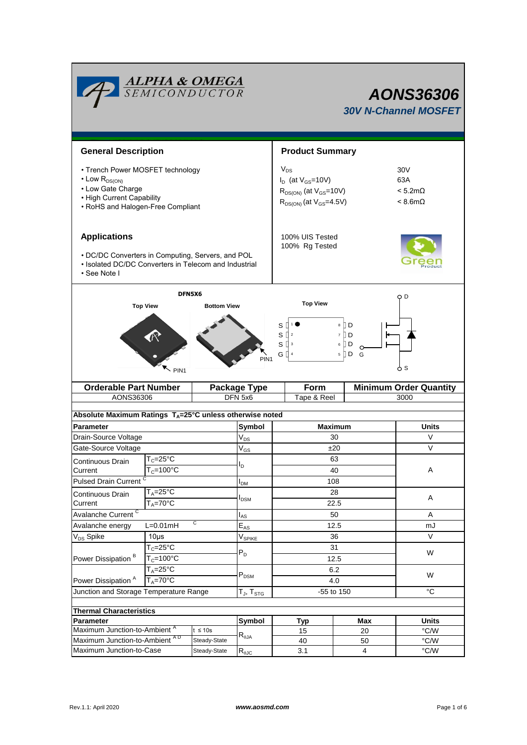|                                                                                                                                                                                                                | <b>ALPHA &amp; OMEGA</b><br>SEMICONDUCTOR           |                   | <b>AONS36306</b><br><b>30V N-Channel MOSFET</b>                                                             |                                                                        |                        |               |  |  |
|----------------------------------------------------------------------------------------------------------------------------------------------------------------------------------------------------------------|-----------------------------------------------------|-------------------|-------------------------------------------------------------------------------------------------------------|------------------------------------------------------------------------|------------------------|---------------|--|--|
|                                                                                                                                                                                                                | <b>General Description</b>                          |                   |                                                                                                             |                                                                        | <b>Product Summary</b> |               |  |  |
| • Trench Power MOSFET technology<br>• Low $R_{DS(ON)}$<br>• Low Gate Charge<br>• High Current Capability<br>• RoHS and Halogen-Free Compliant                                                                  |                                                     |                   | $V_{DS}$<br>$I_D$ (at $V_{GS}$ =10V)<br>$R_{DS(ON)}$ (at $V_{GS}$ =10V)<br>$R_{DS(ON)}$ (at $V_{GS}$ =4.5V) | 30 <sub>V</sub><br>63A<br>$< 5.2 \text{m}\Omega$<br>$< 8.6$ m $\Omega$ |                        |               |  |  |
| <b>Applications</b>                                                                                                                                                                                            |                                                     |                   | 100% UIS Tested<br>100% Rg Tested                                                                           |                                                                        |                        |               |  |  |
| • DC/DC Converters in Computing, Servers, and POL<br>• Isolated DC/DC Converters in Telecom and Industrial<br>· See Note I                                                                                     |                                                     |                   |                                                                                                             |                                                                        |                        |               |  |  |
| DFN5X6<br>O D                                                                                                                                                                                                  |                                                     |                   |                                                                                                             |                                                                        |                        |               |  |  |
| <b>Top View</b><br><b>Top View</b><br><b>Bottom View</b><br>8 D<br>S<br>7 D<br>sО<br>$\overline{2}$<br>$S^{\prod 3}$<br>6 [] D<br>G []<br>$5 \nparallel D$<br>G<br>PIN <sub>1</sub><br>ტ s<br>PIN <sub>1</sub> |                                                     |                   |                                                                                                             |                                                                        |                        |               |  |  |
|                                                                                                                                                                                                                | <b>Orderable Part Number</b><br><b>Package Type</b> |                   |                                                                                                             | <b>Minimum Order Quantity</b><br>Form                                  |                        |               |  |  |
| AONS36306                                                                                                                                                                                                      |                                                     |                   | DFN 5x6                                                                                                     | Tape & Reel<br>3000                                                    |                        |               |  |  |
| Absolute Maximum Ratings T <sub>A</sub> =25°C unless otherwise noted                                                                                                                                           |                                                     |                   |                                                                                                             |                                                                        |                        |               |  |  |
| Parameter                                                                                                                                                                                                      |                                                     |                   | Symbol<br>$V_{DS}$                                                                                          | <b>Maximum</b>                                                         |                        | <b>Units</b>  |  |  |
| Drain-Source Voltage                                                                                                                                                                                           |                                                     |                   |                                                                                                             | 30                                                                     |                        | V             |  |  |
| Gate-Source Voltage                                                                                                                                                                                            |                                                     |                   | $\mathsf{V}_{\mathsf{GS}}$                                                                                  | ±20                                                                    |                        | V             |  |  |
| Continuous Drain                                                                                                                                                                                               | $T_c = 25^{\circ}C$                                 |                   |                                                                                                             | 63                                                                     |                        |               |  |  |
| Current                                                                                                                                                                                                        | $T_c = 100^{\circ}$ C                               |                   | l <sub>D</sub>                                                                                              | 40                                                                     |                        | Α             |  |  |
|                                                                                                                                                                                                                | <b>Pulsed Drain Current</b>                         |                   |                                                                                                             | 108                                                                    |                        |               |  |  |
| Continuous Drain                                                                                                                                                                                               | $T_A = 25^\circ C$<br>$T_A = 70^{\circ}$ C          |                   | l <sub>DSM</sub>                                                                                            | 28                                                                     |                        | Α             |  |  |
| Current<br>Avalanche Current <sup>C</sup>                                                                                                                                                                      |                                                     |                   | $I_{AS}$                                                                                                    | 22.5<br>50                                                             |                        | A             |  |  |
| С<br>Avalanche energy<br>$L=0.01mH$                                                                                                                                                                            |                                                     |                   | $\mathsf{E}_{\mathsf{AS}}$                                                                                  | 12.5                                                                   |                        | mJ            |  |  |
| V <sub>DS</sub> Spike                                                                                                                                                                                          | $10\mus$                                            |                   |                                                                                                             | 36                                                                     |                        | $\vee$        |  |  |
|                                                                                                                                                                                                                | $T_c = 25$ °C                                       |                   | $V_{SPIKE}$                                                                                                 | 31                                                                     |                        |               |  |  |
| Power Dissipation <sup>B</sup>                                                                                                                                                                                 | $T_c = 100^{\circ}$ C                               |                   | $P_D$                                                                                                       | 12.5                                                                   |                        | W             |  |  |
| $T_A = 25$ °C<br>$T_A = 70^{\circ}$ C<br>Power Dissipation <sup>A</sup>                                                                                                                                        |                                                     |                   | $\mathsf{P}_\mathsf{DSM}$                                                                                   | 6.2<br>4.0                                                             |                        | W             |  |  |
| Junction and Storage Temperature Range                                                                                                                                                                         |                                                     | $T_J$ , $T_{STG}$ | -55 to 150                                                                                                  |                                                                        | $^{\circ}C$            |               |  |  |
| <b>Thermal Characteristics</b>                                                                                                                                                                                 |                                                     |                   |                                                                                                             |                                                                        |                        |               |  |  |
| Parameter                                                                                                                                                                                                      |                                                     |                   | Symbol                                                                                                      | Typ                                                                    | Max                    | <b>Units</b>  |  |  |
| Maximum Junction-to-Ambient <sup>A</sup><br>$t \leq 10s$                                                                                                                                                       |                                                     |                   | 15                                                                                                          | 20                                                                     | $\degree$ C/W          |               |  |  |
|                                                                                                                                                                                                                | Maximum Junction-to-Ambient AD<br>Steady-State      |                   | $R_{\theta$ JA                                                                                              | 40                                                                     | 50                     | $\degree$ C/W |  |  |
| Maximum Junction-to-Case<br>Steady-State                                                                                                                                                                       |                                                     | $R_{\theta$ JC    | 3.1                                                                                                         | $\overline{4}$                                                         | $^{\circ}$ C/W         |               |  |  |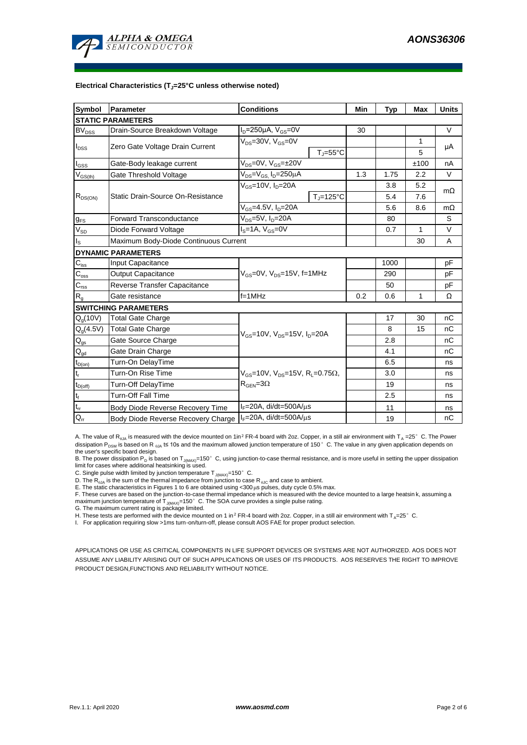

#### **Electrical Characteristics (TJ=25°C unless otherwise noted)**

| <b>Symbol</b>               | Parameter                             | <b>Conditions</b>                                                                           |                     | Min | <b>Typ</b>   | <b>Max</b> | <b>Units</b> |  |  |  |  |  |
|-----------------------------|---------------------------------------|---------------------------------------------------------------------------------------------|---------------------|-----|--------------|------------|--------------|--|--|--|--|--|
| <b>STATIC PARAMETERS</b>    |                                       |                                                                                             |                     |     |              |            |              |  |  |  |  |  |
| $BV_{DSS}$                  | Drain-Source Breakdown Voltage        | $I_D = 250 \mu A$ , $V_{GS} = 0V$                                                           |                     | 30  |              |            | $\vee$       |  |  |  |  |  |
|                             | Zero Gate Voltage Drain Current       | $V_{DS}$ =30V, $V_{GS}$ =0V                                                                 |                     |     |              | 1          | μA           |  |  |  |  |  |
| $I_{DSS}$                   |                                       |                                                                                             | $T_i = 55^{\circ}C$ |     |              | 5          |              |  |  |  |  |  |
| $I_{GSS}$                   | Gate-Body leakage current             | $V_{DS} = 0V$ , $V_{GS} = \pm 20V$                                                          |                     |     |              | ±100       | nA           |  |  |  |  |  |
| $V_{GS(th)}$                | Gate Threshold Voltage                | $V_{DS} = V_{GS}$ , $I_D = 250 \mu A$                                                       |                     | 1.3 | 1.75         | 2.2        | $\vee$       |  |  |  |  |  |
| $R_{DS(ON)}$                |                                       | $V_{GS}$ =10V, $I_D$ =20A                                                                   |                     |     | 3.8          | 5.2        | $m\Omega$    |  |  |  |  |  |
|                             | Static Drain-Source On-Resistance     |                                                                                             | $T_{\rm J}$ =125°C  |     | 5.4          | 7.6        |              |  |  |  |  |  |
|                             |                                       | $V_{GS} = 4.5V, I_D = 20A$                                                                  |                     | 5.6 | 8.6          | $m\Omega$  |              |  |  |  |  |  |
| $g_{FS}$                    | <b>Forward Transconductance</b>       | $V_{DS} = 5V$ , $I_D = 20A$                                                                 |                     | 80  |              | S          |              |  |  |  |  |  |
| $V_{SD}$                    | Diode Forward Voltage                 | $IS=1A, VGS=0V$                                                                             |                     | 0.7 | $\mathbf{1}$ | $\vee$     |              |  |  |  |  |  |
| I <sub>s</sub>              | Maximum Body-Diode Continuous Current |                                                                                             |                     |     | 30           | A          |              |  |  |  |  |  |
| <b>DYNAMIC PARAMETERS</b>   |                                       |                                                                                             |                     |     |              |            |              |  |  |  |  |  |
| $C_{\text{iss}}$            | Input Capacitance                     |                                                                                             |                     |     | 1000         |            | pF           |  |  |  |  |  |
| $\mathsf{C}_{\mathrm{oss}}$ | <b>Output Capacitance</b>             | $V_{\text{GS}} = 0V$ , $V_{\text{DS}} = 15V$ , f=1MHz                                       |                     | 290 |              | рF         |              |  |  |  |  |  |
| $C_{\text{rss}}$            | Reverse Transfer Capacitance          |                                                                                             |                     | 50  |              | pF         |              |  |  |  |  |  |
| R <sub>g</sub>              | Gate resistance                       | $f=1MHz$                                                                                    |                     | 0.2 | 0.6          | 1          | Ω            |  |  |  |  |  |
|                             | <b>SWITCHING PARAMETERS</b>           |                                                                                             |                     |     |              |            |              |  |  |  |  |  |
| $Q_q(10V)$                  | <b>Total Gate Charge</b>              | $V_{GS}$ =10V, $V_{DS}$ =15V, $I_{D}$ =20A                                                  |                     |     | 17           | 30         | nC           |  |  |  |  |  |
| $Q_q(4.5V)$                 | <b>Total Gate Charge</b>              |                                                                                             |                     |     | 8            | 15         | nC           |  |  |  |  |  |
| $\mathsf{Q}_{\text{gs}}$    | Gate Source Charge                    |                                                                                             |                     |     | 2.8          |            | nC           |  |  |  |  |  |
| $\mathsf{Q}_{\text{gd}}$    | Gate Drain Charge                     |                                                                                             |                     |     | 4.1          |            | nC           |  |  |  |  |  |
| $t_{D(on)}$                 | Turn-On DelayTime                     |                                                                                             |                     |     | 6.5          |            | ns           |  |  |  |  |  |
| t,                          | Turn-On Rise Time                     | $V_{GS}$ =10V, $V_{DS}$ =15V, R <sub>L</sub> =0.75 $\Omega$ ,<br>$R_{\text{GEN}} = 3\Omega$ |                     |     | 3.0          |            | ns           |  |  |  |  |  |
| $t_{D(off)}$                | Turn-Off DelayTime                    |                                                                                             |                     |     | 19           |            | ns           |  |  |  |  |  |
| $\mathsf{t}_{\mathsf{f}}$   | <b>Turn-Off Fall Time</b>             |                                                                                             |                     | 2.5 |              | ns         |              |  |  |  |  |  |
| $\mathfrak{t}_{\text{rr}}$  | Body Diode Reverse Recovery Time      | $I_F = 20A$ , di/dt=500A/ $\mu$ s                                                           |                     |     | 11           |            | ns           |  |  |  |  |  |
| $Q_{rr}$                    | Body Diode Reverse Recovery Charge    | $I_F = 20A$ , di/dt=500A/ $\mu$ s                                                           |                     |     | 19           |            | nC           |  |  |  |  |  |

A. The value of R<sub>BJA</sub> is measured with the device mounted on 1in<sup>2</sup> FR-4 board with 2oz. Copper, in a still air environment with T<sub>A</sub> =25°C. The Power dissipation P<sub>DSM</sub> is based on R <sub>6JA</sub> t≤ 10s and the maximum allowed junction temperature of 150°C. The value in any given application depends on the user's specific board design.

B. The power dissipation P<sub>D</sub> is based on T<sub>J(MAX)</sub>=150°C, using junction-to-case thermal resistance, and is more useful in setting the upper dissipation limit for cases where additional heatsinking is used.

C. Single pulse width limited by junction temperature  $T_{J(MAX)}$ =150°C.

D. The  $R_{a_i}$  is the sum of the thermal impedance from junction to case  $R_{a_i}$  and case to ambient.

E. The static characteristics in Figures 1 to 6 are obtained using <300 μs pulses, duty cycle 0.5% max.<br>F. These curves are based on the junction-to-case thermal impedance which is measured with the device mounted to a la maximum junction temperature of  $T_{J(MAX)}$ =150°C. The SOA curve provides a single pulse rating.

G. The maximum current rating is package limited.

H. These tests are performed with the device mounted on 1 in<sup>2</sup> FR-4 board with 2oz. Copper, in a still air environment with T<sub>A</sub>=25°C.

I. For application requiring slow >1ms turn-on/turn-off, please consult AOS FAE for proper product selection.

APPLICATIONS OR USE AS CRITICAL COMPONENTS IN LIFE SUPPORT DEVICES OR SYSTEMS ARE NOT AUTHORIZED. AOS DOES NOT ASSUME ANY LIABILITY ARISING OUT OF SUCH APPLICATIONS OR USES OF ITS PRODUCTS. AOS RESERVES THE RIGHT TO IMPROVE PRODUCT DESIGN,FUNCTIONS AND RELIABILITY WITHOUT NOTICE.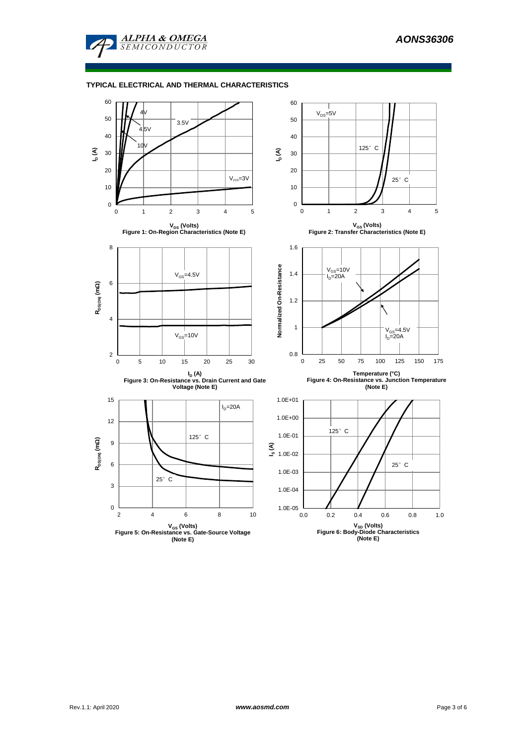

### **TYPICAL ELECTRICAL AND THERMAL CHARACTERISTICS**

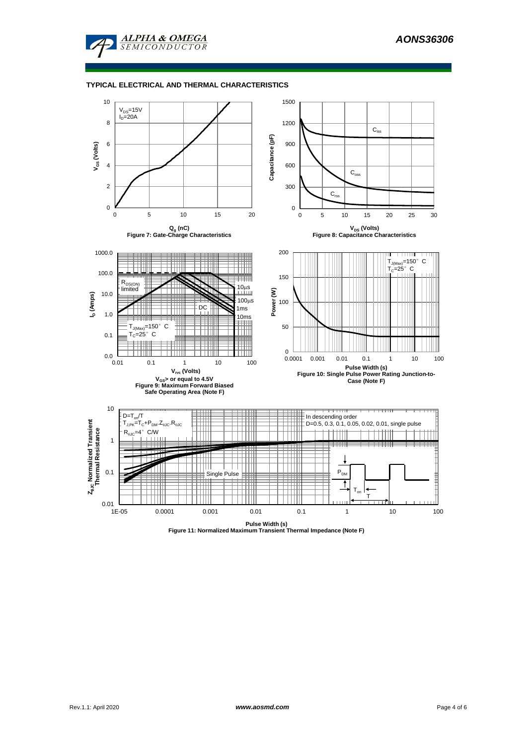

#### **TYPICAL ELECTRICAL AND THERMAL CHARACTERISTICS**



**Pulse Width (s) Figure 11: Normalized Maximum Transient Thermal Impedance (Note F)**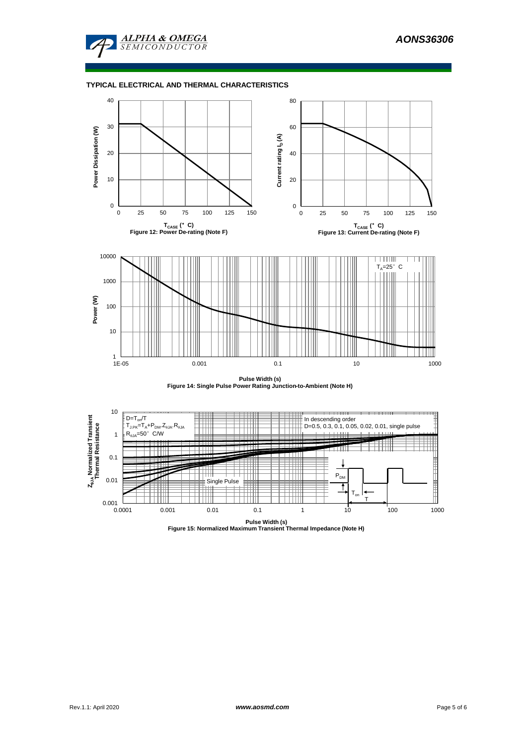

### **TYPICAL ELECTRICAL AND THERMAL CHARACTERISTICS**



**Pulse Width (s) Figure 14: Single Pulse Power Rating Junction-to-Ambient (Note H)**



**Pulse Width (s) Figure 15: Normalized Maximum Transient Thermal Impedance (Note H)**